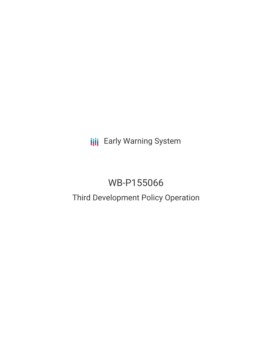**III** Early Warning System

# WB-P155066

# Third Development Policy Operation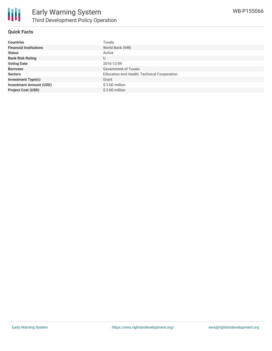

## **Quick Facts**

| <b>Countries</b>               | Tuvalu                                      |
|--------------------------------|---------------------------------------------|
| <b>Financial Institutions</b>  | World Bank (WB)                             |
| <b>Status</b>                  | Active                                      |
| <b>Bank Risk Rating</b>        | U                                           |
| <b>Voting Date</b>             | 2016-12-09                                  |
| <b>Borrower</b>                | Government of Tuvalu                        |
| <b>Sectors</b>                 | Education and Health, Technical Cooperation |
| <b>Investment Type(s)</b>      | Grant                                       |
| <b>Investment Amount (USD)</b> | $$3.00$ million                             |
| <b>Project Cost (USD)</b>      | \$3.00 million                              |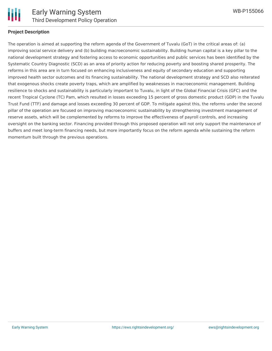

### **Project Description**

The operation is aimed at supporting the reform agenda of the Government of Tuvalu (GoT) in the critical areas of: (a) improving social service delivery and (b) building macroeconomic sustainability. Building human capital is a key pillar to the national development strategy and fostering access to economic opportunities and public services has been identified by the Systematic Country Diagnostic (SCD) as an area of priority action for reducing poverty and boosting shared prosperity. The reforms in this area are in turn focused on enhancing inclusiveness and equity of secondary education and supporting improved health sector outcomes and its financing sustainability. The national development strategy and SCD also reiterated that exogenous shocks create poverty traps, which are amplified by weaknesses in macroeconomic management. Building resilience to shocks and sustainability is particularly important to Tuvalu, in light of the Global Financial Crisis (GFC) and the recent Tropical Cyclone (TC) Pam, which resulted in losses exceeding 15 percent of gross domestic product (GDP) in the Tuvalu Trust Fund (TTF) and damage and losses exceeding 30 percent of GDP. To mitigate against this, the reforms under the second pillar of the operation are focused on improving macroeconomic sustainability by strengthening investment management of reserve assets, which will be complemented by reforms to improve the effectiveness of payroll controls, and increasing oversight on the banking sector. Financing provided through this proposed operation will not only support the maintenance of buffers and meet long-term financing needs, but more importantly focus on the reform agenda while sustaining the reform momentum built through the previous operations.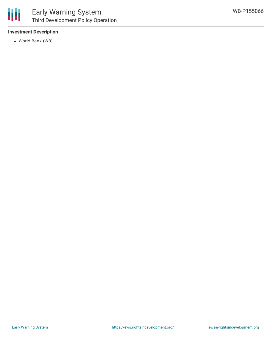

## **Investment Description**

World Bank (WB)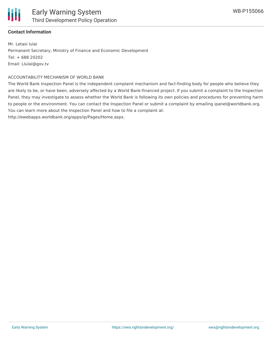

## **Contact Information**

Mr. Letasi Iulai Permanent Secretary, Ministry of Finance and Economic Development Tel: + 688 20202 Email: LIulai@gov.tv

#### ACCOUNTABILITY MECHANISM OF WORLD BANK

The World Bank Inspection Panel is the independent complaint mechanism and fact-finding body for people who believe they are likely to be, or have been, adversely affected by a World Bank-financed project. If you submit a complaint to the Inspection Panel, they may investigate to assess whether the World Bank is following its own policies and procedures for preventing harm to people or the environment. You can contact the Inspection Panel or submit a complaint by emailing ipanel@worldbank.org. You can learn more about the Inspection Panel and how to file a complaint at:

http://ewebapps.worldbank.org/apps/ip/Pages/Home.aspx.